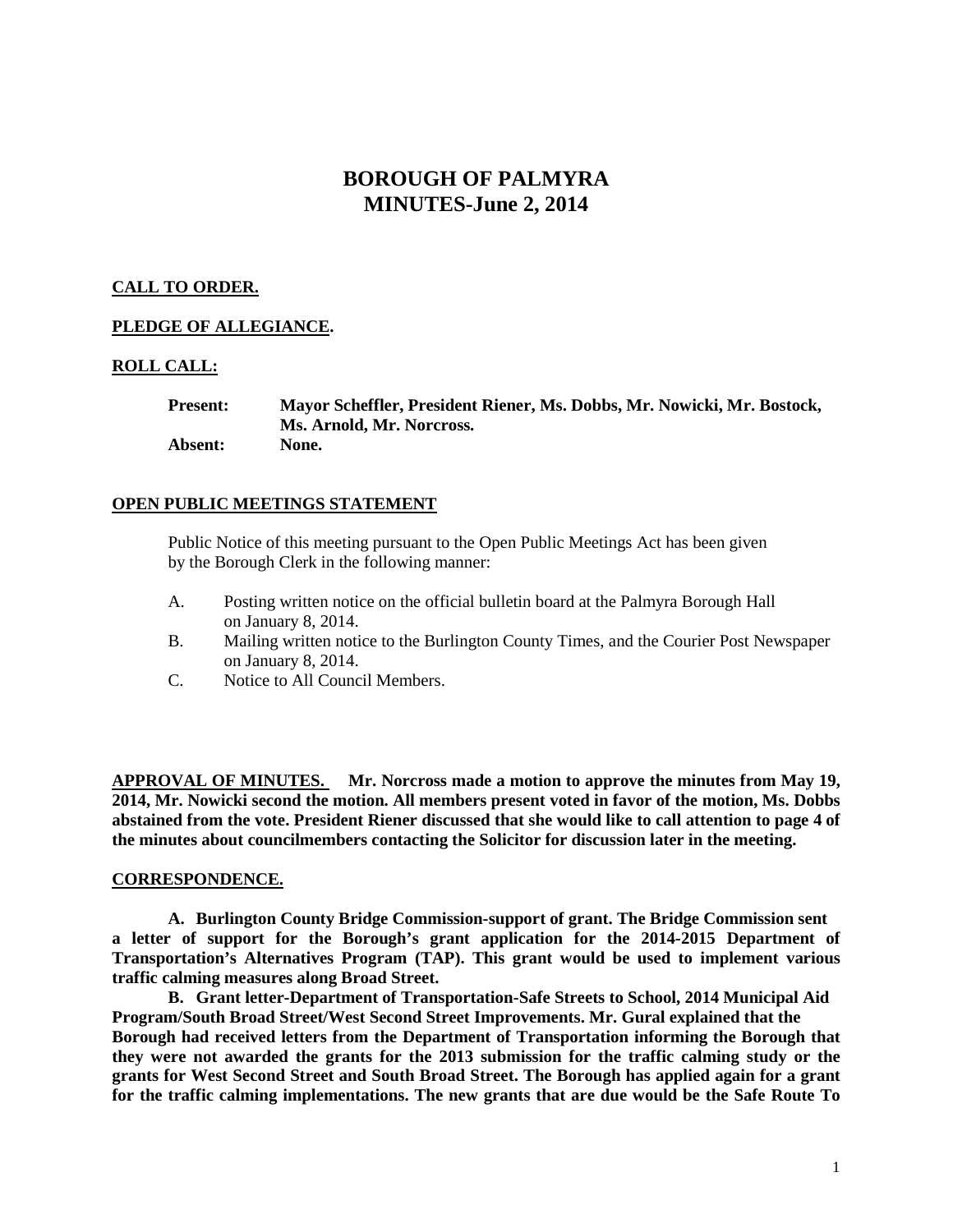# **BOROUGH OF PALMYRA MINUTES-June 2, 2014**

# **CALL TO ORDER.**

## **PLEDGE OF ALLEGIANCE.**

## **ROLL CALL:**

**Present: Mayor Scheffler, President Riener, Ms. Dobbs, Mr. Nowicki, Mr. Bostock, Ms. Arnold, Mr. Norcross. Absent: None.**

## **OPEN PUBLIC MEETINGS STATEMENT**

Public Notice of this meeting pursuant to the Open Public Meetings Act has been given by the Borough Clerk in the following manner:

- A. Posting written notice on the official bulletin board at the Palmyra Borough Hall on January 8, 2014.
- B. Mailing written notice to the Burlington County Times, and the Courier Post Newspaper on January 8, 2014.
- C. Notice to All Council Members.

**APPROVAL OF MINUTES. Mr. Norcross made a motion to approve the minutes from May 19, 2014, Mr. Nowicki second the motion. All members present voted in favor of the motion, Ms. Dobbs abstained from the vote. President Riener discussed that she would like to call attention to page 4 of the minutes about councilmembers contacting the Solicitor for discussion later in the meeting.** 

### **CORRESPONDENCE.**

**A. Burlington County Bridge Commission-support of grant. The Bridge Commission sent a letter of support for the Borough's grant application for the 2014-2015 Department of Transportation's Alternatives Program (TAP). This grant would be used to implement various traffic calming measures along Broad Street.** 

**B. Grant letter-Department of Transportation-Safe Streets to School, 2014 Municipal Aid Program/South Broad Street/West Second Street Improvements. Mr. Gural explained that the Borough had received letters from the Department of Transportation informing the Borough that they were not awarded the grants for the 2013 submission for the traffic calming study or the grants for West Second Street and South Broad Street. The Borough has applied again for a grant for the traffic calming implementations. The new grants that are due would be the Safe Route To**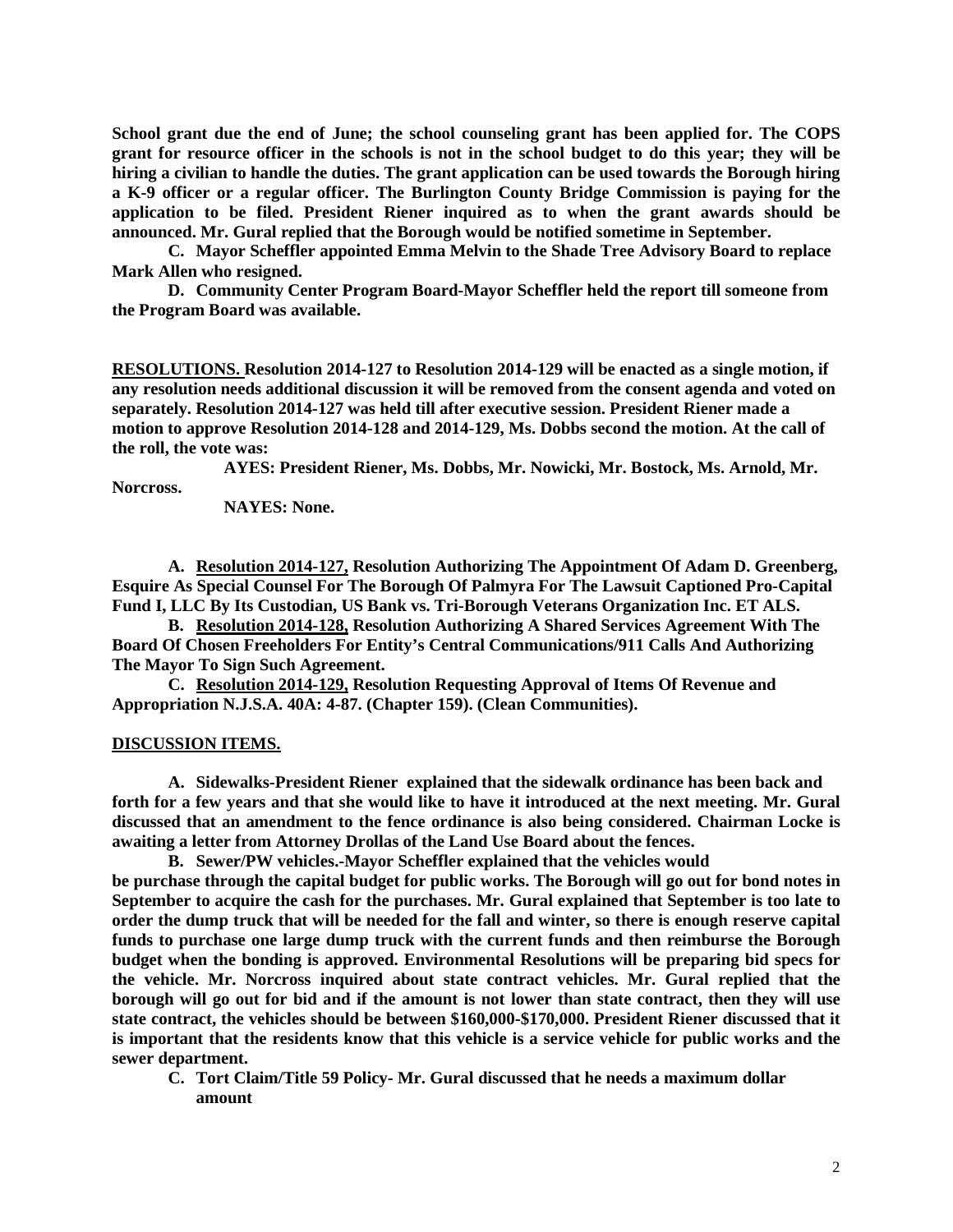**School grant due the end of June; the school counseling grant has been applied for. The COPS grant for resource officer in the schools is not in the school budget to do this year; they will be hiring a civilian to handle the duties. The grant application can be used towards the Borough hiring a K-9 officer or a regular officer. The Burlington County Bridge Commission is paying for the application to be filed. President Riener inquired as to when the grant awards should be announced. Mr. Gural replied that the Borough would be notified sometime in September.** 

**C. Mayor Scheffler appointed Emma Melvin to the Shade Tree Advisory Board to replace Mark Allen who resigned.**

**D. Community Center Program Board-Mayor Scheffler held the report till someone from the Program Board was available.**

**RESOLUTIONS. Resolution 2014-127 to Resolution 2014-129 will be enacted as a single motion, if any resolution needs additional discussion it will be removed from the consent agenda and voted on separately. Resolution 2014-127 was held till after executive session. President Riener made a motion to approve Resolution 2014-128 and 2014-129, Ms. Dobbs second the motion. At the call of the roll, the vote was:**

**AYES: President Riener, Ms. Dobbs, Mr. Nowicki, Mr. Bostock, Ms. Arnold, Mr. Norcross.**

**NAYES: None.** 

**A. Resolution 2014-127, Resolution Authorizing The Appointment Of Adam D. Greenberg, Esquire As Special Counsel For The Borough Of Palmyra For The Lawsuit Captioned Pro-Capital Fund I, LLC By Its Custodian, US Bank vs. Tri-Borough Veterans Organization Inc. ET ALS.**

**B. Resolution 2014-128, Resolution Authorizing A Shared Services Agreement With The Board Of Chosen Freeholders For Entity's Central Communications/911 Calls And Authorizing The Mayor To Sign Such Agreement.** 

**C. Resolution 2014-129, Resolution Requesting Approval of Items Of Revenue and Appropriation N.J.S.A. 40A: 4-87. (Chapter 159). (Clean Communities).**

### **DISCUSSION ITEMS.**

**A. Sidewalks-President Riener explained that the sidewalk ordinance has been back and forth for a few years and that she would like to have it introduced at the next meeting. Mr. Gural discussed that an amendment to the fence ordinance is also being considered. Chairman Locke is awaiting a letter from Attorney Drollas of the Land Use Board about the fences.** 

**B. Sewer/PW vehicles.-Mayor Scheffler explained that the vehicles would**

**be purchase through the capital budget for public works. The Borough will go out for bond notes in September to acquire the cash for the purchases. Mr. Gural explained that September is too late to order the dump truck that will be needed for the fall and winter, so there is enough reserve capital funds to purchase one large dump truck with the current funds and then reimburse the Borough budget when the bonding is approved. Environmental Resolutions will be preparing bid specs for the vehicle. Mr. Norcross inquired about state contract vehicles. Mr. Gural replied that the borough will go out for bid and if the amount is not lower than state contract, then they will use state contract, the vehicles should be between \$160,000-\$170,000. President Riener discussed that it is important that the residents know that this vehicle is a service vehicle for public works and the sewer department.** 

**C. Tort Claim/Title 59 Policy- Mr. Gural discussed that he needs a maximum dollar amount**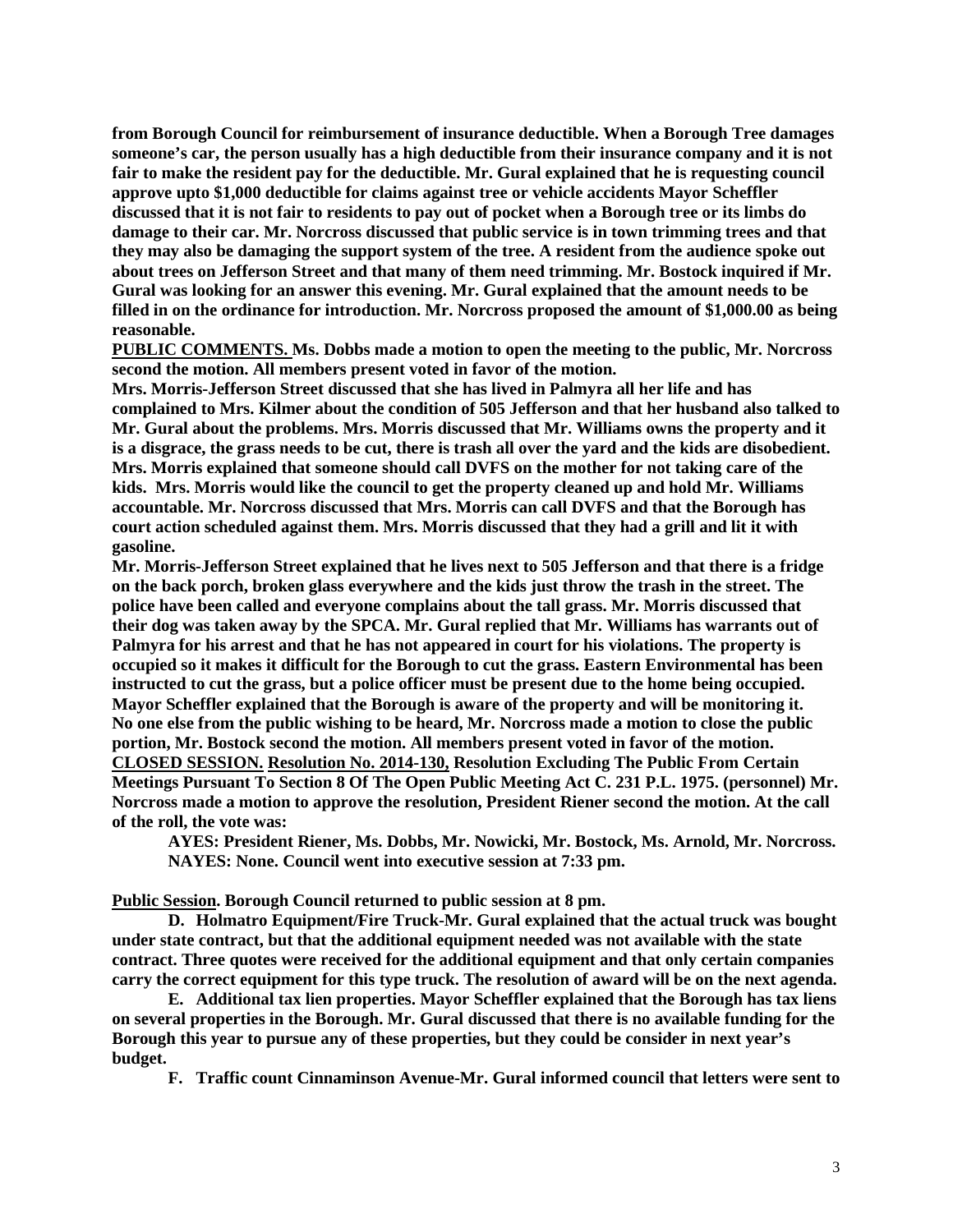**from Borough Council for reimbursement of insurance deductible. When a Borough Tree damages someone's car, the person usually has a high deductible from their insurance company and it is not fair to make the resident pay for the deductible. Mr. Gural explained that he is requesting council approve upto \$1,000 deductible for claims against tree or vehicle accidents Mayor Scheffler discussed that it is not fair to residents to pay out of pocket when a Borough tree or its limbs do damage to their car. Mr. Norcross discussed that public service is in town trimming trees and that they may also be damaging the support system of the tree. A resident from the audience spoke out about trees on Jefferson Street and that many of them need trimming. Mr. Bostock inquired if Mr. Gural was looking for an answer this evening. Mr. Gural explained that the amount needs to be filled in on the ordinance for introduction. Mr. Norcross proposed the amount of \$1,000.00 as being reasonable.** 

**PUBLIC COMMENTS. Ms. Dobbs made a motion to open the meeting to the public, Mr. Norcross second the motion. All members present voted in favor of the motion.** 

**Mrs. Morris-Jefferson Street discussed that she has lived in Palmyra all her life and has complained to Mrs. Kilmer about the condition of 505 Jefferson and that her husband also talked to Mr. Gural about the problems. Mrs. Morris discussed that Mr. Williams owns the property and it is a disgrace, the grass needs to be cut, there is trash all over the yard and the kids are disobedient. Mrs. Morris explained that someone should call DVFS on the mother for not taking care of the kids. Mrs. Morris would like the council to get the property cleaned up and hold Mr. Williams accountable. Mr. Norcross discussed that Mrs. Morris can call DVFS and that the Borough has court action scheduled against them. Mrs. Morris discussed that they had a grill and lit it with gasoline.** 

**Mr. Morris-Jefferson Street explained that he lives next to 505 Jefferson and that there is a fridge on the back porch, broken glass everywhere and the kids just throw the trash in the street. The police have been called and everyone complains about the tall grass. Mr. Morris discussed that their dog was taken away by the SPCA. Mr. Gural replied that Mr. Williams has warrants out of Palmyra for his arrest and that he has not appeared in court for his violations. The property is occupied so it makes it difficult for the Borough to cut the grass. Eastern Environmental has been instructed to cut the grass, but a police officer must be present due to the home being occupied. Mayor Scheffler explained that the Borough is aware of the property and will be monitoring it. No one else from the public wishing to be heard, Mr. Norcross made a motion to close the public portion, Mr. Bostock second the motion. All members present voted in favor of the motion. CLOSED SESSION. Resolution No. 2014-130, Resolution Excluding The Public From Certain Meetings Pursuant To Section 8 Of The Open Public Meeting Act C. 231 P.L. 1975. (personnel) Mr. Norcross made a motion to approve the resolution, President Riener second the motion. At the call of the roll, the vote was:**

**AYES: President Riener, Ms. Dobbs, Mr. Nowicki, Mr. Bostock, Ms. Arnold, Mr. Norcross. NAYES: None. Council went into executive session at 7:33 pm.**

**Public Session. Borough Council returned to public session at 8 pm.**

**D. Holmatro Equipment/Fire Truck-Mr. Gural explained that the actual truck was bought under state contract, but that the additional equipment needed was not available with the state contract. Three quotes were received for the additional equipment and that only certain companies carry the correct equipment for this type truck. The resolution of award will be on the next agenda.** 

**E. Additional tax lien properties. Mayor Scheffler explained that the Borough has tax liens on several properties in the Borough. Mr. Gural discussed that there is no available funding for the Borough this year to pursue any of these properties, but they could be consider in next year's budget.** 

**F. Traffic count Cinnaminson Avenue-Mr. Gural informed council that letters were sent to**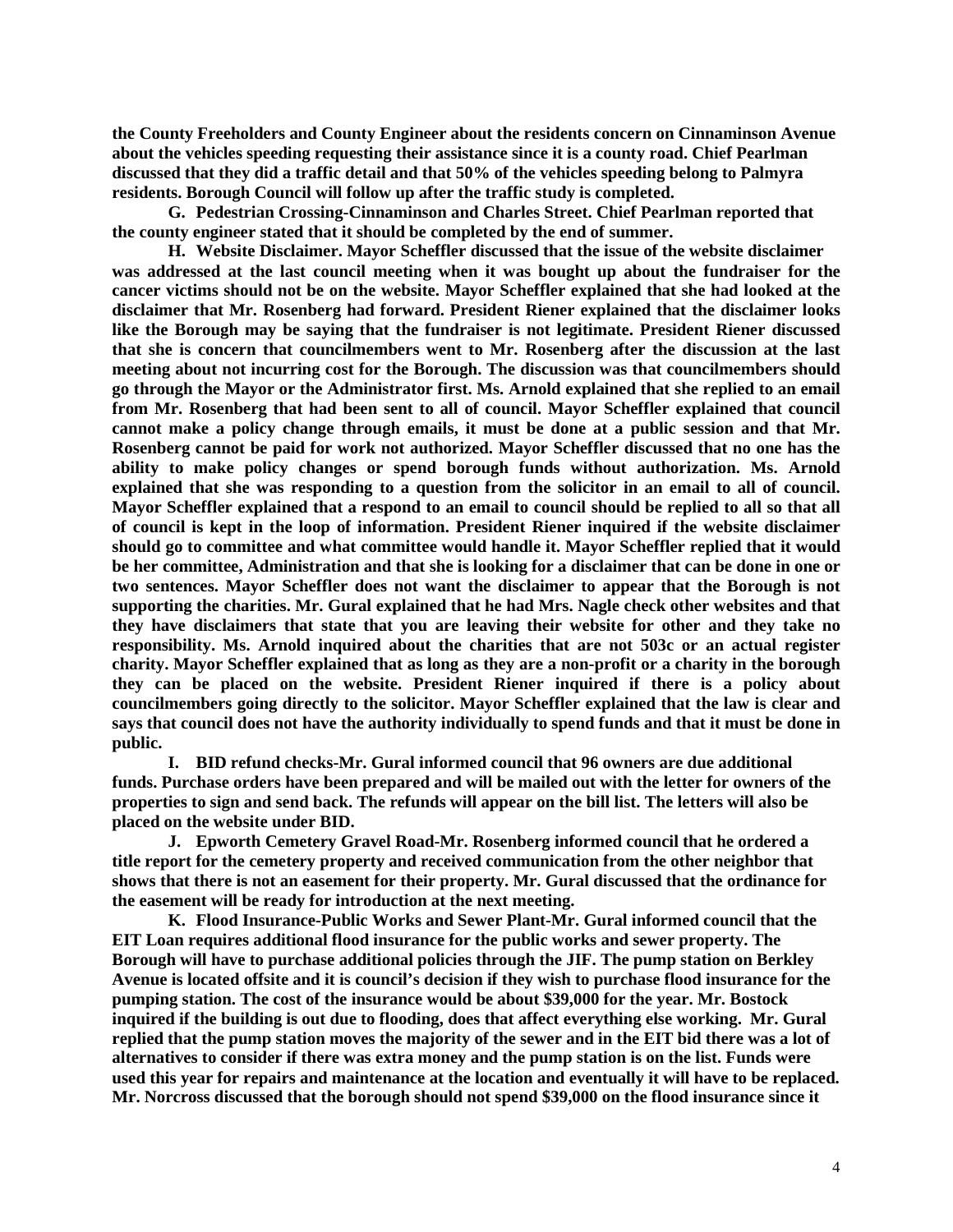**the County Freeholders and County Engineer about the residents concern on Cinnaminson Avenue about the vehicles speeding requesting their assistance since it is a county road. Chief Pearlman discussed that they did a traffic detail and that 50% of the vehicles speeding belong to Palmyra residents. Borough Council will follow up after the traffic study is completed.**

**G. Pedestrian Crossing-Cinnaminson and Charles Street. Chief Pearlman reported that the county engineer stated that it should be completed by the end of summer.**

**H. Website Disclaimer. Mayor Scheffler discussed that the issue of the website disclaimer was addressed at the last council meeting when it was bought up about the fundraiser for the cancer victims should not be on the website. Mayor Scheffler explained that she had looked at the disclaimer that Mr. Rosenberg had forward. President Riener explained that the disclaimer looks like the Borough may be saying that the fundraiser is not legitimate. President Riener discussed that she is concern that councilmembers went to Mr. Rosenberg after the discussion at the last meeting about not incurring cost for the Borough. The discussion was that councilmembers should go through the Mayor or the Administrator first. Ms. Arnold explained that she replied to an email from Mr. Rosenberg that had been sent to all of council. Mayor Scheffler explained that council cannot make a policy change through emails, it must be done at a public session and that Mr. Rosenberg cannot be paid for work not authorized. Mayor Scheffler discussed that no one has the ability to make policy changes or spend borough funds without authorization. Ms. Arnold explained that she was responding to a question from the solicitor in an email to all of council. Mayor Scheffler explained that a respond to an email to council should be replied to all so that all of council is kept in the loop of information. President Riener inquired if the website disclaimer should go to committee and what committee would handle it. Mayor Scheffler replied that it would be her committee, Administration and that she is looking for a disclaimer that can be done in one or two sentences. Mayor Scheffler does not want the disclaimer to appear that the Borough is not supporting the charities. Mr. Gural explained that he had Mrs. Nagle check other websites and that they have disclaimers that state that you are leaving their website for other and they take no responsibility. Ms. Arnold inquired about the charities that are not 503c or an actual register charity. Mayor Scheffler explained that as long as they are a non-profit or a charity in the borough they can be placed on the website. President Riener inquired if there is a policy about councilmembers going directly to the solicitor. Mayor Scheffler explained that the law is clear and says that council does not have the authority individually to spend funds and that it must be done in public.** 

**I. BID refund checks-Mr. Gural informed council that 96 owners are due additional funds. Purchase orders have been prepared and will be mailed out with the letter for owners of the properties to sign and send back. The refunds will appear on the bill list. The letters will also be placed on the website under BID.** 

**J. Epworth Cemetery Gravel Road-Mr. Rosenberg informed council that he ordered a title report for the cemetery property and received communication from the other neighbor that shows that there is not an easement for their property. Mr. Gural discussed that the ordinance for the easement will be ready for introduction at the next meeting.** 

**K. Flood Insurance-Public Works and Sewer Plant-Mr. Gural informed council that the EIT Loan requires additional flood insurance for the public works and sewer property. The Borough will have to purchase additional policies through the JIF. The pump station on Berkley Avenue is located offsite and it is council's decision if they wish to purchase flood insurance for the pumping station. The cost of the insurance would be about \$39,000 for the year. Mr. Bostock inquired if the building is out due to flooding, does that affect everything else working. Mr. Gural replied that the pump station moves the majority of the sewer and in the EIT bid there was a lot of alternatives to consider if there was extra money and the pump station is on the list. Funds were used this year for repairs and maintenance at the location and eventually it will have to be replaced. Mr. Norcross discussed that the borough should not spend \$39,000 on the flood insurance since it**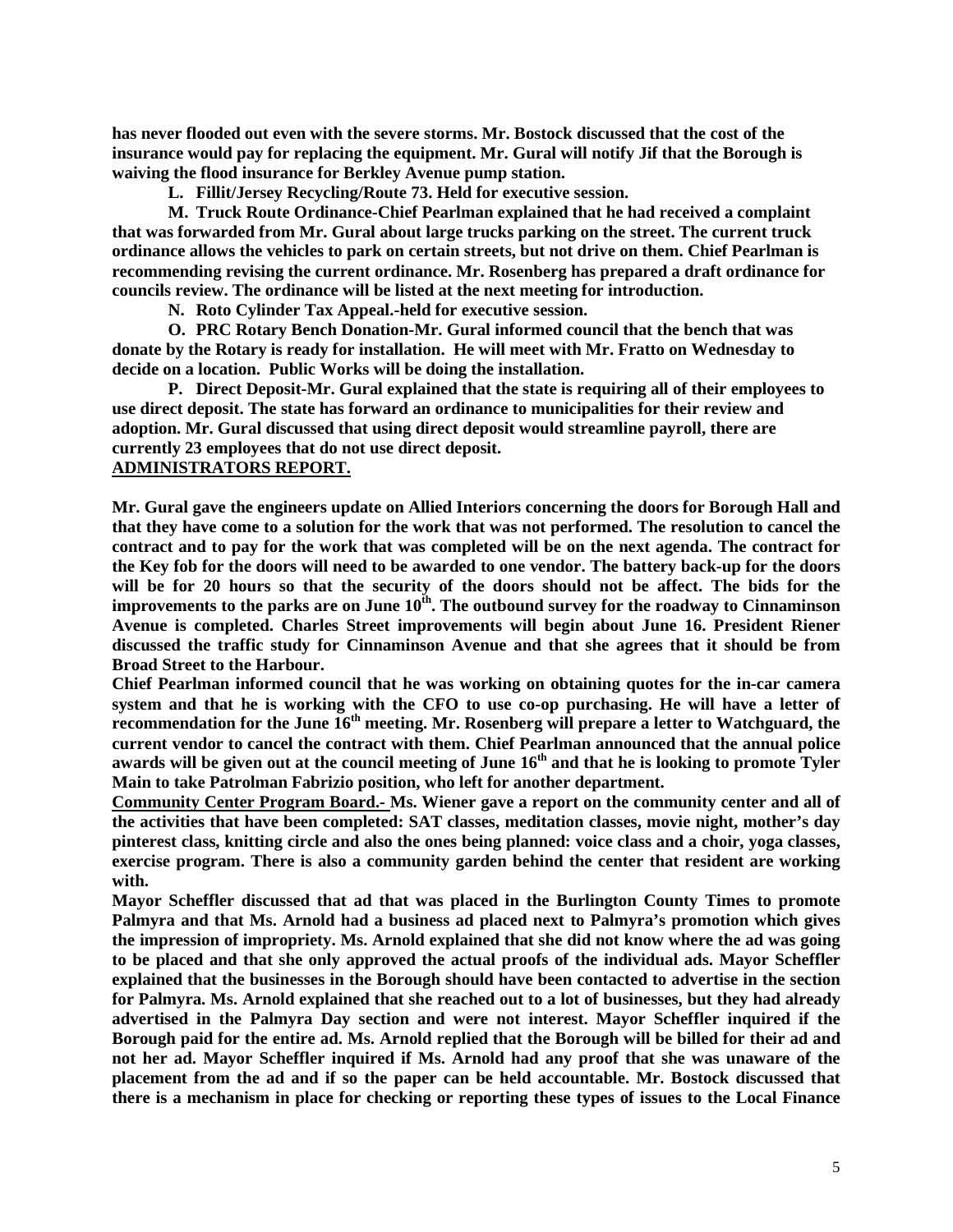**has never flooded out even with the severe storms. Mr. Bostock discussed that the cost of the insurance would pay for replacing the equipment. Mr. Gural will notify Jif that the Borough is waiving the flood insurance for Berkley Avenue pump station.** 

**L. Fillit/Jersey Recycling/Route 73. Held for executive session.** 

**M. Truck Route Ordinance-Chief Pearlman explained that he had received a complaint that was forwarded from Mr. Gural about large trucks parking on the street. The current truck ordinance allows the vehicles to park on certain streets, but not drive on them. Chief Pearlman is recommending revising the current ordinance. Mr. Rosenberg has prepared a draft ordinance for councils review. The ordinance will be listed at the next meeting for introduction.** 

**N. Roto Cylinder Tax Appeal.-held for executive session.**

**O. PRC Rotary Bench Donation-Mr. Gural informed council that the bench that was donate by the Rotary is ready for installation. He will meet with Mr. Fratto on Wednesday to decide on a location. Public Works will be doing the installation.**

**P. Direct Deposit-Mr. Gural explained that the state is requiring all of their employees to use direct deposit. The state has forward an ordinance to municipalities for their review and adoption. Mr. Gural discussed that using direct deposit would streamline payroll, there are currently 23 employees that do not use direct deposit.** 

#### **ADMINISTRATORS REPORT.**

**Mr. Gural gave the engineers update on Allied Interiors concerning the doors for Borough Hall and that they have come to a solution for the work that was not performed. The resolution to cancel the contract and to pay for the work that was completed will be on the next agenda. The contract for the Key fob for the doors will need to be awarded to one vendor. The battery back-up for the doors will be for 20 hours so that the security of the doors should not be affect. The bids for the improvements to the parks are on June 10th. The outbound survey for the roadway to Cinnaminson Avenue is completed. Charles Street improvements will begin about June 16. President Riener discussed the traffic study for Cinnaminson Avenue and that she agrees that it should be from Broad Street to the Harbour.**

**Chief Pearlman informed council that he was working on obtaining quotes for the in-car camera system and that he is working with the CFO to use co-op purchasing. He will have a letter of recommendation for the June 16th meeting. Mr. Rosenberg will prepare a letter to Watchguard, the current vendor to cancel the contract with them. Chief Pearlman announced that the annual police**  awards will be given out at the council meeting of June 16<sup>th</sup> and that he is looking to promote Tyler **Main to take Patrolman Fabrizio position, who left for another department.** 

**Community Center Program Board.***-* **Ms. Wiener gave a report on the community center and all of the activities that have been completed: SAT classes, meditation classes, movie night, mother's day pinterest class, knitting circle and also the ones being planned: voice class and a choir, yoga classes, exercise program. There is also a community garden behind the center that resident are working with.** 

**Mayor Scheffler discussed that ad that was placed in the Burlington County Times to promote Palmyra and that Ms. Arnold had a business ad placed next to Palmyra's promotion which gives the impression of impropriety. Ms. Arnold explained that she did not know where the ad was going to be placed and that she only approved the actual proofs of the individual ads. Mayor Scheffler explained that the businesses in the Borough should have been contacted to advertise in the section for Palmyra. Ms. Arnold explained that she reached out to a lot of businesses, but they had already advertised in the Palmyra Day section and were not interest. Mayor Scheffler inquired if the Borough paid for the entire ad. Ms. Arnold replied that the Borough will be billed for their ad and not her ad. Mayor Scheffler inquired if Ms. Arnold had any proof that she was unaware of the placement from the ad and if so the paper can be held accountable. Mr. Bostock discussed that there is a mechanism in place for checking or reporting these types of issues to the Local Finance**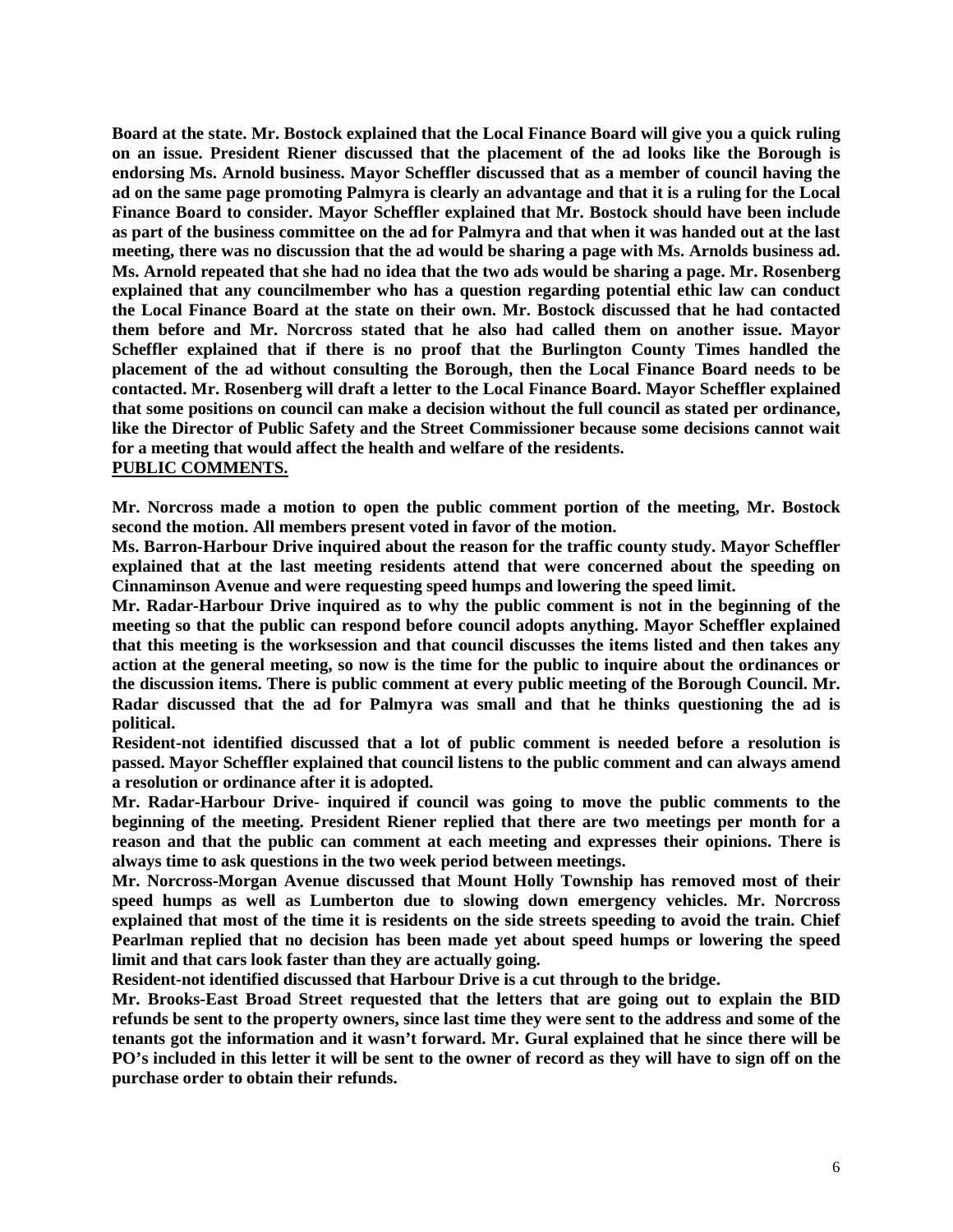**Board at the state. Mr. Bostock explained that the Local Finance Board will give you a quick ruling on an issue. President Riener discussed that the placement of the ad looks like the Borough is endorsing Ms. Arnold business. Mayor Scheffler discussed that as a member of council having the ad on the same page promoting Palmyra is clearly an advantage and that it is a ruling for the Local Finance Board to consider. Mayor Scheffler explained that Mr. Bostock should have been include as part of the business committee on the ad for Palmyra and that when it was handed out at the last meeting, there was no discussion that the ad would be sharing a page with Ms. Arnolds business ad. Ms. Arnold repeated that she had no idea that the two ads would be sharing a page. Mr. Rosenberg explained that any councilmember who has a question regarding potential ethic law can conduct the Local Finance Board at the state on their own. Mr. Bostock discussed that he had contacted them before and Mr. Norcross stated that he also had called them on another issue. Mayor Scheffler explained that if there is no proof that the Burlington County Times handled the placement of the ad without consulting the Borough, then the Local Finance Board needs to be contacted. Mr. Rosenberg will draft a letter to the Local Finance Board. Mayor Scheffler explained that some positions on council can make a decision without the full council as stated per ordinance, like the Director of Public Safety and the Street Commissioner because some decisions cannot wait for a meeting that would affect the health and welfare of the residents. PUBLIC COMMENTS.**

**Mr. Norcross made a motion to open the public comment portion of the meeting, Mr. Bostock second the motion. All members present voted in favor of the motion.**

**Ms. Barron-Harbour Drive inquired about the reason for the traffic county study. Mayor Scheffler explained that at the last meeting residents attend that were concerned about the speeding on Cinnaminson Avenue and were requesting speed humps and lowering the speed limit.** 

**Mr. Radar-Harbour Drive inquired as to why the public comment is not in the beginning of the meeting so that the public can respond before council adopts anything. Mayor Scheffler explained that this meeting is the worksession and that council discusses the items listed and then takes any action at the general meeting, so now is the time for the public to inquire about the ordinances or the discussion items. There is public comment at every public meeting of the Borough Council. Mr. Radar discussed that the ad for Palmyra was small and that he thinks questioning the ad is political.** 

**Resident-not identified discussed that a lot of public comment is needed before a resolution is passed. Mayor Scheffler explained that council listens to the public comment and can always amend a resolution or ordinance after it is adopted.** 

**Mr. Radar-Harbour Drive- inquired if council was going to move the public comments to the beginning of the meeting. President Riener replied that there are two meetings per month for a reason and that the public can comment at each meeting and expresses their opinions. There is always time to ask questions in the two week period between meetings.** 

**Mr. Norcross-Morgan Avenue discussed that Mount Holly Township has removed most of their speed humps as well as Lumberton due to slowing down emergency vehicles. Mr. Norcross explained that most of the time it is residents on the side streets speeding to avoid the train. Chief Pearlman replied that no decision has been made yet about speed humps or lowering the speed limit and that cars look faster than they are actually going.** 

**Resident-not identified discussed that Harbour Drive is a cut through to the bridge.** 

**Mr. Brooks-East Broad Street requested that the letters that are going out to explain the BID refunds be sent to the property owners, since last time they were sent to the address and some of the tenants got the information and it wasn't forward. Mr. Gural explained that he since there will be PO's included in this letter it will be sent to the owner of record as they will have to sign off on the purchase order to obtain their refunds.**